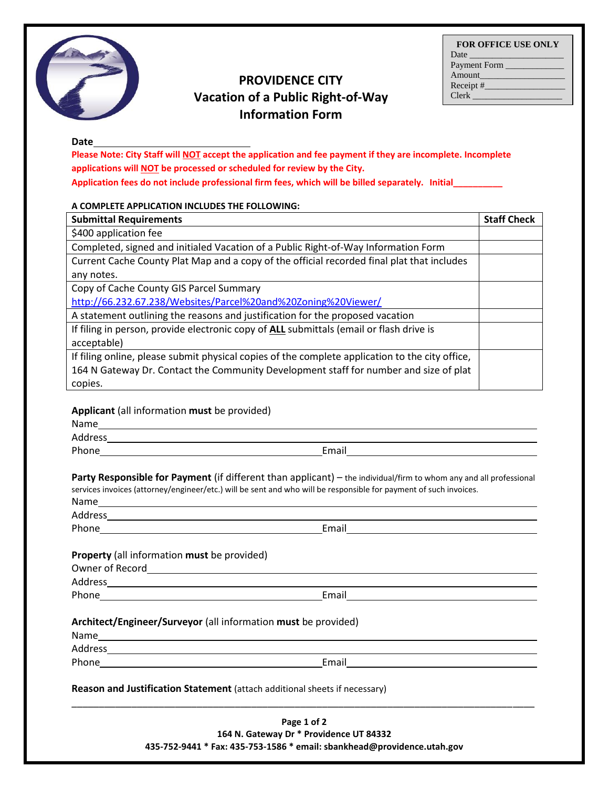**FOR OFFICE USE ONLY**



# **PROVIDENCE CITY Vacation of a Public Right-of-Way Information Form**

#### **Date**

**Please Note: City Staff will NOT accept the application and fee payment if they are incomplete. Incomplete applications will NOT be processed or scheduled for review by the City.** 

**Application fees do not include professional firm fees, which will be billed separately. Initial\_\_\_\_\_\_\_\_\_\_**

#### **A COMPLETE APPLICATION INCLUDES THE FOLLOWING:**

| <b>Submittal Requirements</b>                                                                   | <b>Staff Check</b> |
|-------------------------------------------------------------------------------------------------|--------------------|
| \$400 application fee                                                                           |                    |
| Completed, signed and initialed Vacation of a Public Right-of-Way Information Form              |                    |
| Current Cache County Plat Map and a copy of the official recorded final plat that includes      |                    |
| any notes.                                                                                      |                    |
| Copy of Cache County GIS Parcel Summary                                                         |                    |
| http://66.232.67.238/Websites/Parcel%20and%20Zoning%20Viewer/                                   |                    |
| A statement outlining the reasons and justification for the proposed vacation                   |                    |
| If filing in person, provide electronic copy of ALL submittals (email or flash drive is         |                    |
| acceptable)                                                                                     |                    |
| If filing online, please submit physical copies of the complete application to the city office, |                    |
| 164 N Gateway Dr. Contact the Community Development staff for number and size of plat           |                    |
| copies.                                                                                         |                    |

### **Applicant** (all information **must** be provided)

| Name    |                                                                                                                                                                                                                                         |  |
|---------|-----------------------------------------------------------------------------------------------------------------------------------------------------------------------------------------------------------------------------------------|--|
| Address |                                                                                                                                                                                                                                         |  |
| Phone   | Email                                                                                                                                                                                                                                   |  |
|         | Party Responsible for Payment (if different than applicant) - the individual/firm to whom any and all professional<br>services invoices (attorney/engineer/etc.) will be sent and who will be responsible for payment of such invoices. |  |

| Property (all information must be provided)                    |                                       |  |
|----------------------------------------------------------------|---------------------------------------|--|
| Owner of Record<br><u>December 2008</u>                        |                                       |  |
|                                                                |                                       |  |
| Phone Phone 2014                                               | Email <u>________________________</u> |  |
|                                                                |                                       |  |
| Architect/Engineer/Surveyor (all information must be provided) |                                       |  |

## **Architect/Engineer/Surveyor** (all information **must** be provided)

| Name    |  |
|---------|--|
| Address |  |
|         |  |

Phone Email

**Reason and Justification Statement** (attach additional sheets if necessary)

**Page 1 of 2 164 N. Gateway Dr \* Providence UT 84332 435-752-9441 \* Fax: 435-753-1586 \* email: sbankhead@providence.utah.gov**

\_\_\_\_\_\_\_\_\_\_\_\_\_\_\_\_\_\_\_\_\_\_\_\_\_\_\_\_\_\_\_\_\_\_\_\_\_\_\_\_\_\_\_\_\_\_\_\_\_\_\_\_\_\_\_\_\_\_\_\_\_\_\_\_\_\_\_\_\_\_\_\_\_\_\_\_\_\_\_\_\_\_\_\_\_